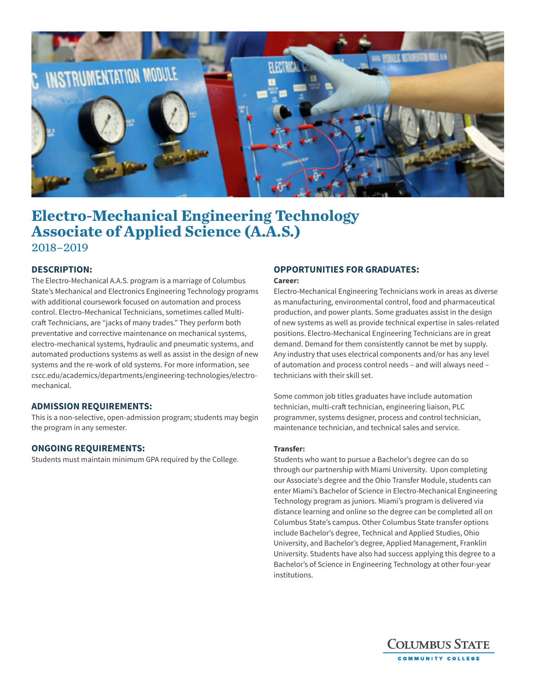

# **Electro-Mechanical Engineering Technology Associate of Applied Science (A.A.S.)** 2018–2019

# **DESCRIPTION:**

The Electro-Mechanical A.A.S. program is a marriage of Columbus State's Mechanical and Electronics Engineering Technology programs with additional coursework focused on automation and process control. Electro-Mechanical Technicians, sometimes called Multicraft Technicians, are "jacks of many trades." They perform both preventative and corrective maintenance on mechanical systems, electro-mechanical systems, hydraulic and pneumatic systems, and automated productions systems as well as assist in the design of new systems and the re-work of old systems. For more information, see cscc.edu/academics/departments/engineering-technologies/electromechanical.

#### **ADMISSION REQUIREMENTS:**

This is a non-selective, open-admission program; students may begin the program in any semester.

#### **ONGOING REQUIREMENTS:**

Students must maintain minimum GPA required by the College.

# **OPPORTUNITIES FOR GRADUATES:**

#### **Career:**

Electro-Mechanical Engineering Technicians work in areas as diverse as manufacturing, environmental control, food and pharmaceutical production, and power plants. Some graduates assist in the design of new systems as well as provide technical expertise in sales-related positions. Electro-Mechanical Engineering Technicians are in great demand. Demand for them consistently cannot be met by supply. Any industry that uses electrical components and/or has any level of automation and process control needs – and will always need – technicians with their skill set.

Some common job titles graduates have include automation technician, multi-craft technician, engineering liaison, PLC programmer, systems designer, process and control technician, maintenance technician, and technical sales and service.

#### **Transfer:**

Students who want to pursue a Bachelor's degree can do so through our partnership with Miami University. Upon completing our Associate's degree and the Ohio Transfer Module, students can enter Miami's Bachelor of Science in Electro-Mechanical Engineering Technology program as juniors. Miami's program is delivered via distance learning and online so the degree can be completed all on Columbus State's campus. Other Columbus State transfer options include Bachelor's degree, Technical and Applied Studies, Ohio University, and Bachelor's degree, Applied Management, Franklin University. Students have also had success applying this degree to a Bachelor's of Science in Engineering Technology at other four-year institutions.